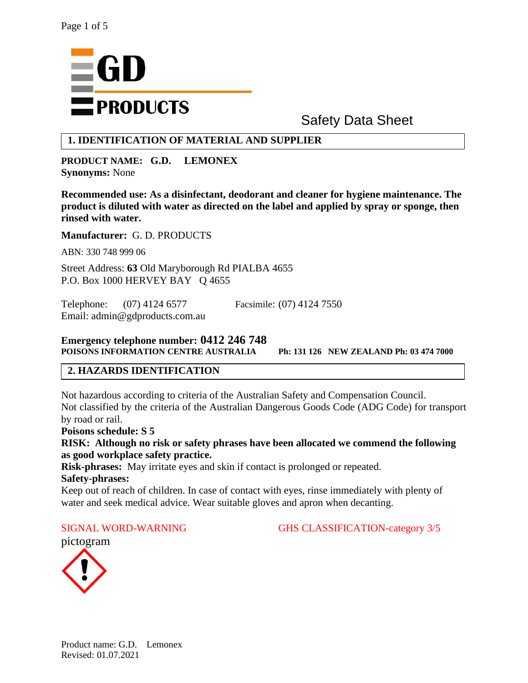

# Safety Data Sheet

# **1. IDENTIFICATION OF MATERIAL AND SUPPLIER**

**PRODUCT NAME: G.D. LEMONEX Synonyms:** None

**Recommended use: As a disinfectant, deodorant and cleaner for hygiene maintenance. The product is diluted with water as directed on the label and applied by spray or sponge, then rinsed with water.**

**Manufacturer:** G. D. PRODUCTS

ABN: 330 748 999 06

Street Address: **63** Old Maryborough Rd PIALBA 4655 P.O. Box 1000 HERVEY BAY Q 4655

Telephone: (07) 4124 6577 Facsimile: (07) 4124 7550 Email: admin@gdproducts.com.au

#### **Emergency telephone number: 0412 246 748 POISONS INFORMATION CENTRE AUSTRALIA Ph: 131 126 NEW ZEALAND Ph: 03 474 7000**

# **2. HAZARDS IDENTIFICATION**

Not hazardous according to criteria of the Australian Safety and Compensation Council. Not classified by the criteria of the Australian Dangerous Goods Code (ADG Code) for transport by road or rail.

**Poisons schedule: S 5**

**RISK: Although no risk or safety phrases have been allocated we commend the following as good workplace safety practice.**

**Risk-phrases:** May irritate eyes and skin if contact is prolonged or repeated. **Safety-phrases:** 

Keep out of reach of children. In case of contact with eyes, rinse immediately with plenty of water and seek medical advice. Wear suitable gloves and apron when decanting.

SIGNAL WORD-WARNING GHS CLASSIFICATION-category 3/5

pictogram

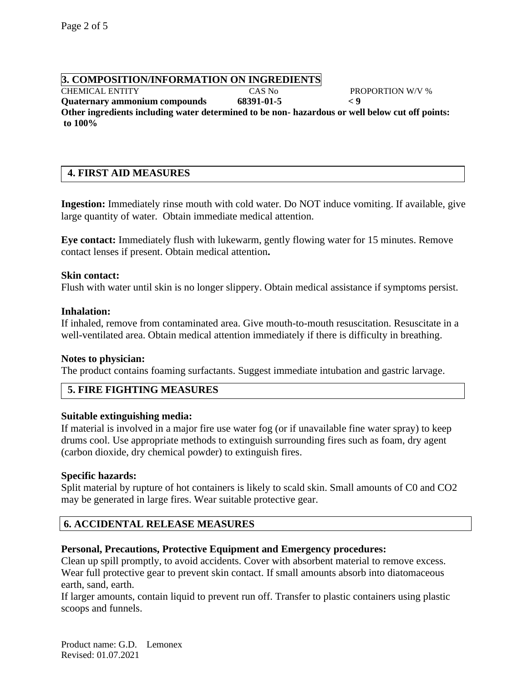# **3. COMPOSITION/INFORMATION ON INGREDIENTS**

CHEMICAL ENTITY CAS No PROPORTION W/V % **Quaternary ammonium compounds 68391-01-5 < 9 Other ingredients including water determined to be non- hazardous or well below cut off points: to 100%**

# **4. FIRST AID MEASURES**

**Ingestion:** Immediately rinse mouth with cold water. Do NOT induce vomiting. If available, give large quantity of water. Obtain immediate medical attention.

**Eye contact:** Immediately flush with lukewarm, gently flowing water for 15 minutes. Remove contact lenses if present. Obtain medical attention**.**

#### **Skin contact:**

Flush with water until skin is no longer slippery. Obtain medical assistance if symptoms persist.

#### **Inhalation:**

If inhaled, remove from contaminated area. Give mouth-to-mouth resuscitation. Resuscitate in a well-ventilated area. Obtain medical attention immediately if there is difficulty in breathing.

#### **Notes to physician:**

The product contains foaming surfactants. Suggest immediate intubation and gastric larvage.

# **5. FIRE FIGHTING MEASURES**

#### **Suitable extinguishing media:**

If material is involved in a major fire use water fog (or if unavailable fine water spray) to keep drums cool. Use appropriate methods to extinguish surrounding fires such as foam, dry agent (carbon dioxide, dry chemical powder) to extinguish fires.

#### **Specific hazards:**

Split material by rupture of hot containers is likely to scald skin. Small amounts of C0 and CO2 may be generated in large fires. Wear suitable protective gear.

# **6. ACCIDENTAL RELEASE MEASURES**

# **Personal, Precautions, Protective Equipment and Emergency procedures:**

Clean up spill promptly, to avoid accidents. Cover with absorbent material to remove excess. Wear full protective gear to prevent skin contact. If small amounts absorb into diatomaceous earth, sand, earth.

If larger amounts, contain liquid to prevent run off. Transfer to plastic containers using plastic scoops and funnels.

Product name: G.D. Lemonex Revised: 01.07.2021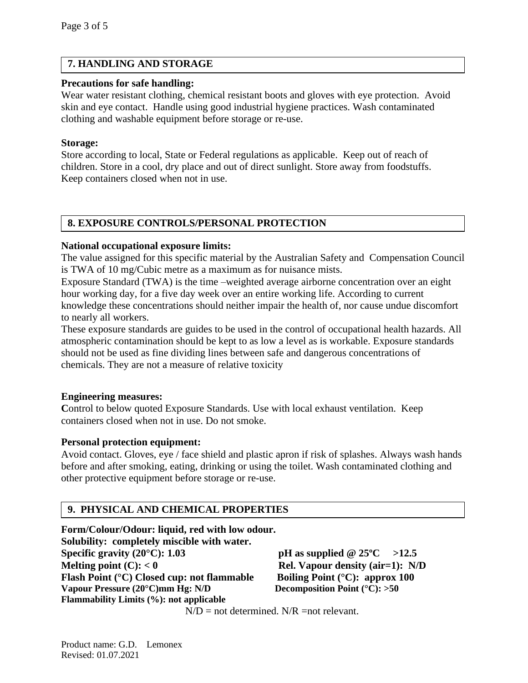# **7. HANDLING AND STORAGE**

#### **Precautions for safe handling:**

Wear water resistant clothing, chemical resistant boots and gloves with eye protection. Avoid skin and eye contact. Handle using good industrial hygiene practices. Wash contaminated clothing and washable equipment before storage or re-use.

#### **Storage:**

Store according to local, State or Federal regulations as applicable. Keep out of reach of children. Store in a cool, dry place and out of direct sunlight. Store away from foodstuffs. Keep containers closed when not in use.

# **8. EXPOSURE CONTROLS/PERSONAL PROTECTION**

#### **National occupational exposure limits:**

The value assigned for this specific material by the Australian Safety and Compensation Council is TWA of 10 mg/Cubic metre as a maximum as for nuisance mists.

Exposure Standard (TWA) is the time –weighted average airborne concentration over an eight hour working day, for a five day week over an entire working life. According to current knowledge these concentrations should neither impair the health of, nor cause undue discomfort to nearly all workers.

These exposure standards are guides to be used in the control of occupational health hazards. All atmospheric contamination should be kept to as low a level as is workable. Exposure standards should not be used as fine dividing lines between safe and dangerous concentrations of chemicals. They are not a measure of relative toxicity

#### **Engineering measures:**

Control to below quoted Exposure Standards. Use with local exhaust ventilation. Keep containers closed when not in use. Do not smoke.

# **Personal protection equipment:**

Avoid contact. Gloves, eye / face shield and plastic apron if risk of splashes. Always wash hands before and after smoking, eating, drinking or using the toilet. Wash contaminated clothing and other protective equipment before storage or re-use.

# **9. PHYSICAL AND CHEMICAL PROPERTIES**

**Form/Colour/Odour: liquid, red with low odour. Solubility: completely miscible with water. Specific gravity (20°C):** 1.03 **pH** as supplied  $@ 25$ °C >12.5 **Melting point (C):**  $< 0$  **Rel. Vapour density (air=1):** N/D **Flash Point (°C) Closed cup: not flammable Boiling Point (°C): approx 100 Vapour Pressure (20°C)mm Hg: N/D Decomposition Point (°C): >50 Flammability Limits (%): not applicable**

 $N/D$  = not determined.  $N/R$  = not relevant.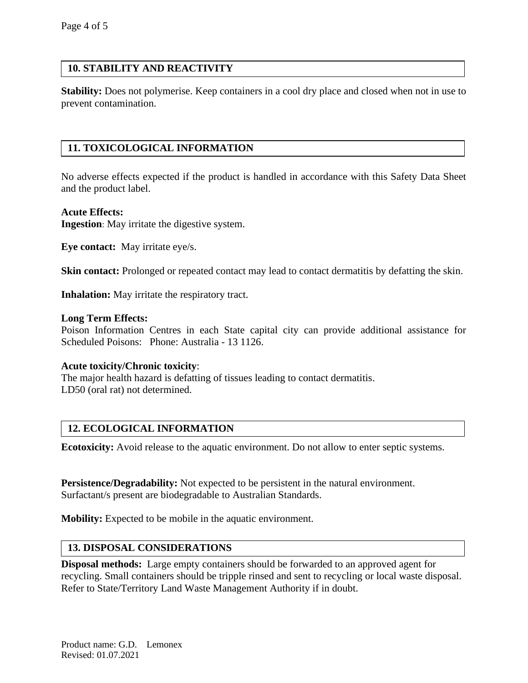# **10. STABILITY AND REACTIVITY**

**Stability:** Does not polymerise. Keep containers in a cool dry place and closed when not in use to prevent contamination.

# **11. TOXICOLOGICAL INFORMATION**

No adverse effects expected if the product is handled in accordance with this Safety Data Sheet and the product label.

#### **Acute Effects:**

**Ingestion**: May irritate the digestive system.

**Eye contact:** May irritate eye/s.

**Skin contact:** Prolonged or repeated contact may lead to contact dermatitis by defatting the skin.

**Inhalation:** May irritate the respiratory tract.

#### **Long Term Effects:**

Poison Information Centres in each State capital city can provide additional assistance for Scheduled Poisons: Phone: Australia - 13 1126.

#### **Acute toxicity/Chronic toxicity**:

The major health hazard is defatting of tissues leading to contact dermatitis. LD50 (oral rat) not determined.

# **12. ECOLOGICAL INFORMATION**

**Ecotoxicity:** Avoid release to the aquatic environment. Do not allow to enter septic systems.

**Persistence/Degradability:** Not expected to be persistent in the natural environment. Surfactant/s present are biodegradable to Australian Standards.

**Mobility:** Expected to be mobile in the aquatic environment.

#### **13. DISPOSAL CONSIDERATIONS**

**Disposal methods:** Large empty containers should be forwarded to an approved agent for recycling. Small containers should be tripple rinsed and sent to recycling or local waste disposal. Refer to State/Territory Land Waste Management Authority if in doubt.